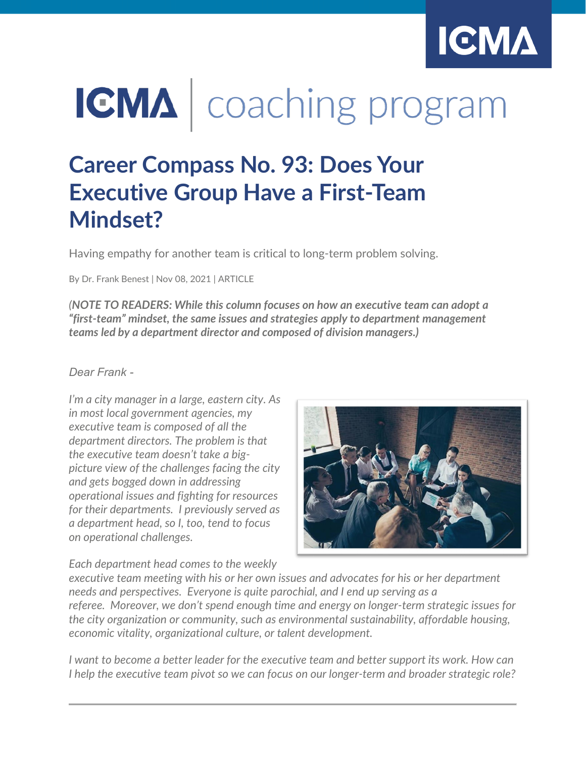

# IGMA | coaching program

## **Career Compass No. 93: Does Your Executive Group Have a First-Team Mindset?**

Having empathy for another team is critical to long-term problem solving.

By Dr. Frank Benest | Nov 08, 2021 | ARTICLE

*(NOTE TO READERS: While this column focuses on how an executive team can adopt a "first-team" mindset, the same issues and strategies apply to department management teams led by a department director and composed of division managers.)*

#### *Dear Frank -*

*I'm a city manager in a large, eastern city. As in most local government agencies, my executive team is composed of all the department directors. The problem is that the executive team doesn't take a bigpicture view of the challenges facing the city and gets bogged down in addressing operational issues and fighting for resources for their departments. I previously served as a department head, so I, too, tend to focus on operational challenges.*



*Each department head comes to the weekly* 

*executive team meeting with his or her own issues and advocates for his or her department needs and perspectives. Everyone is quite parochial, and I end up serving as a referee. Moreover, we don't spend enough time and energy on longer-term strategic issues for the city organization or community, such as environmental sustainability, affordable housing, economic vitality, organizational culture, or talent development.*

*I want to become a better leader for the executive team and better support its work. How can I help the executive team pivot so we can focus on our longer-term and broader strategic role?*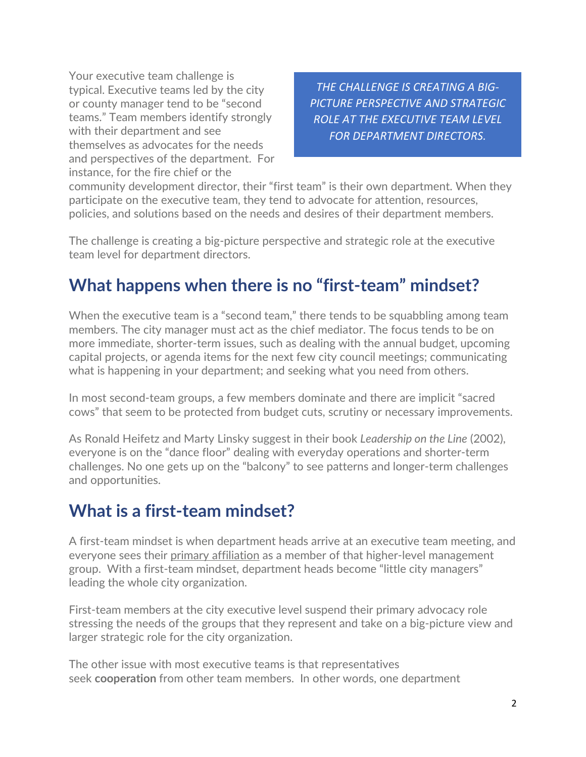Your executive team challenge is typical. Executive teams led by the city or county manager tend to be "second teams." Team members identify strongly with their department and see themselves as advocates for the needs and perspectives of the department. For instance, for the fire chief or the

*THE CHALLENGE IS CREATING A BIG-PICTURE PERSPECTIVE AND STRATEGIC ROLE AT THE EXECUTIVE TEAM LEVEL FOR DEPARTMENT DIRECTORS.*

community development director, their "first team" is their own department. When they participate on the executive team, they tend to advocate for attention, resources, policies, and solutions based on the needs and desires of their department members.

The challenge is creating a big-picture perspective and strategic role at the executive team level for department directors.

## **What happens when there is no "first-team" mindset?**

When the executive team is a "second team," there tends to be squabbling among team members. The city manager must act as the chief mediator. The focus tends to be on more immediate, shorter-term issues, such as dealing with the annual budget, upcoming capital projects, or agenda items for the next few city council meetings; communicating what is happening in your department; and seeking what you need from others.

In most second-team groups, a few members dominate and there are implicit "sacred cows" that seem to be protected from budget cuts, scrutiny or necessary improvements.

As Ronald Heifetz and Marty Linsky suggest in their book *Leadership on the Line* (2002), everyone is on the "dance floor" dealing with everyday operations and shorter-term challenges. No one gets up on the "balcony" to see patterns and longer-term challenges and opportunities.

### **What is a first-team mindset?**

A first-team mindset is when department heads arrive at an executive team meeting, and everyone sees their primary affiliation as a member of that higher-level management group. With a first-team mindset, department heads become "little city managers" leading the whole city organization.

First-team members at the city executive level suspend their primary advocacy role stressing the needs of the groups that they represent and take on a big-picture view and larger strategic role for the city organization.

The other issue with most executive teams is that representatives seek **cooperation** from other team members. In other words, one department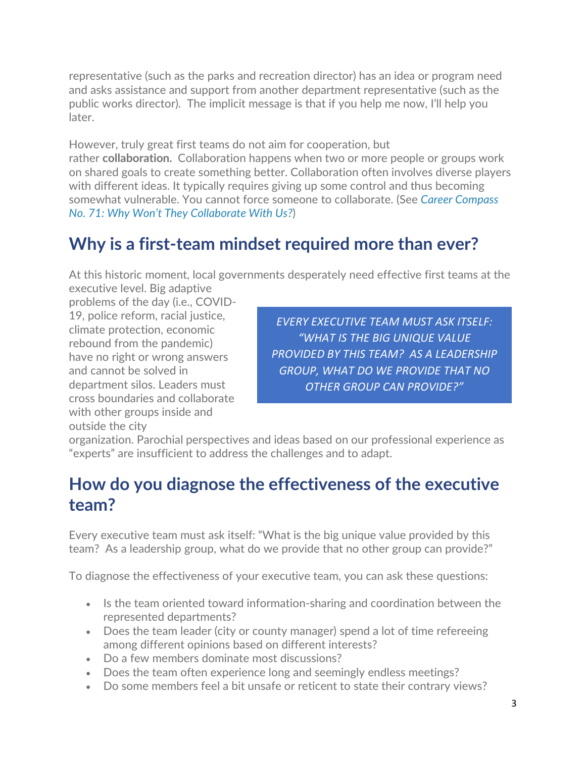representative (such as the parks and recreation director) has an idea or program need and asks assistance and support from another department representative (such as the public works director). The implicit message is that if you help me now, I'll help you later.

However, truly great first teams do not aim for cooperation, but rather **collaboration.** Collaboration happens when two or more people or groups work on shared goals to create something better. Collaboration often involves diverse players with different ideas. It typically requires giving up some control and thus becoming somewhat vulnerable. You cannot force someone to collaborate. (See *[Career Compass](https://icma.org/articles/member-news/career-compass-no-71-why-wont-they-collaborate-us)  No. 71: [Why Won't They Collaborate With Us?](https://icma.org/articles/member-news/career-compass-no-71-why-wont-they-collaborate-us)*)

## **Why is a first-team mindset required more than ever?**

At this historic moment, local governments desperately need effective first teams at the

executive level. Big adaptive problems of the day (i.e., COVID-19, police reform, racial justice, climate protection, economic rebound from the pandemic) have no right or wrong answers and cannot be solved in department silos. Leaders must cross boundaries and collaborate with other groups inside and outside the city

*EVERY EXECUTIVE TEAM MUST ASK ITSELF: "WHAT IS THE BIG UNIQUE VALUE PROVIDED BY THIS TEAM? AS A LEADERSHIP GROUP, WHAT DO WE PROVIDE THAT NO OTHER GROUP CAN PROVIDE?"*

organization. Parochial perspectives and ideas based on our professional experience as "experts" are insufficient to address the challenges and to adapt.

## **How do you diagnose the effectiveness of the executive team?**

Every executive team must ask itself: "What is the big unique value provided by this team? As a leadership group, what do we provide that no other group can provide?"

To diagnose the effectiveness of your executive team, you can ask these questions:

- Is the team oriented toward information-sharing and coordination between the represented departments?
- Does the team leader (city or county manager) spend a lot of time refereeing among different opinions based on different interests?
- Do a few members dominate most discussions?
- Does the team often experience long and seemingly endless meetings?
- Do some members feel a bit unsafe or reticent to state their contrary views?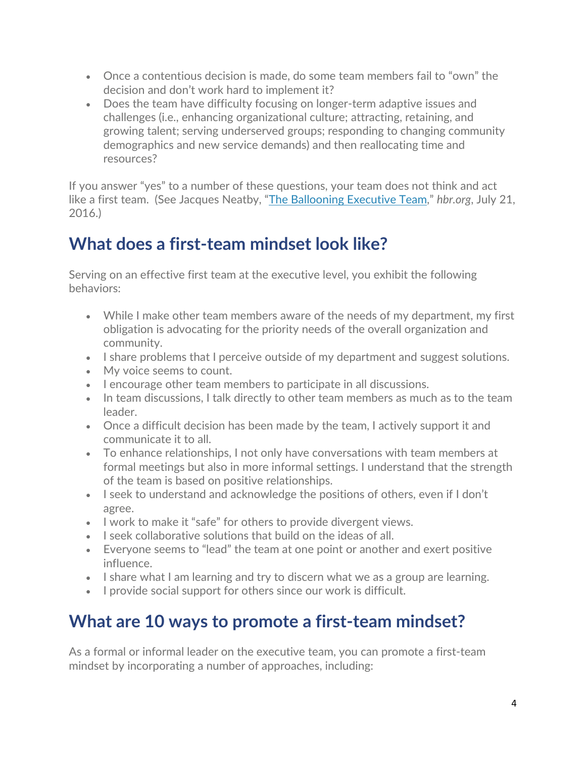- Once a contentious decision is made, do some team members fail to "own" the decision and don't work hard to implement it?
- Does the team have difficulty focusing on longer-term adaptive issues and challenges (i.e., enhancing organizational culture; attracting, retaining, and growing talent; serving underserved groups; responding to changing community demographics and new service demands) and then reallocating time and resources?

If you answer "yes" to a number of these questions, your team does not think and act like a first team. (See Jacques Neatby, ["The Ballooning Executive Team,](https://hbr.org/2016/07/the-ballooning-executive-team)" *hbr.org*, July 21, 2016.)

## **What does a first-team mindset look like?**

Serving on an effective first team at the executive level, you exhibit the following behaviors:

- While I make other team members aware of the needs of my department, my first obligation is advocating for the priority needs of the overall organization and community.
- I share problems that I perceive outside of my department and suggest solutions.
- My voice seems to count.
- I encourage other team members to participate in all discussions.
- In team discussions, I talk directly to other team members as much as to the team leader.
- Once a difficult decision has been made by the team, I actively support it and communicate it to all.
- To enhance relationships, I not only have conversations with team members at formal meetings but also in more informal settings. I understand that the strength of the team is based on positive relationships.
- I seek to understand and acknowledge the positions of others, even if I don't agree.
- I work to make it "safe" for others to provide divergent views.
- I seek collaborative solutions that build on the ideas of all.
- Everyone seems to "lead" the team at one point or another and exert positive influence.
- I share what I am learning and try to discern what we as a group are learning.
- I provide social support for others since our work is difficult.

## **What are 10 ways to promote a first-team mindset?**

As a formal or informal leader on the executive team, you can promote a first-team mindset by incorporating a number of approaches, including: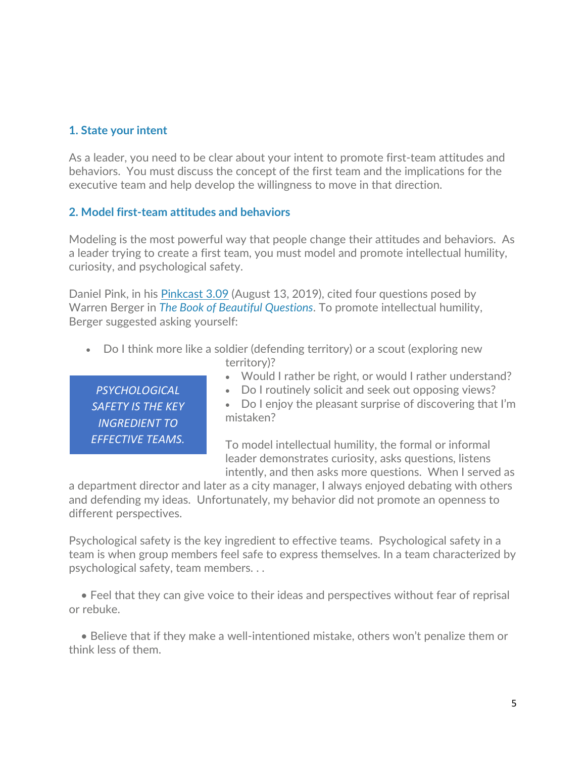#### **1. State your intent**

As a leader, you need to be clear about your intent to promote first-team attitudes and behaviors. You must discuss the concept of the first team and the implications for the executive team and help develop the willingness to move in that direction.

#### **2. Model first-team attitudes and behaviors**

Modeling is the most powerful way that people change their attitudes and behaviors. As a leader trying to create a first team, you must model and promote intellectual humility, curiosity, and psychological safety.

Daniel Pink, in his [Pinkcast 3.09](https://www.danpink.com/pinkcast/pinkcast-3-09-this-is-how-to-boost-your-intellectual-humility/) (August 13, 2019), cited four questions posed by Warren Berger in *[The Book of Beautiful Questions](https://amorebeautifulquestion.com/the-book-of-beautiful-questions/)*. To promote intellectual humility, Berger suggested asking yourself:

- Do I think more like a soldier (defending territory) or a scout (exploring new territory)?
	- Would I rather be right, or would I rather understand?
	- Do I routinely solicit and seek out opposing views?

*PSYCHOLOGICAL SAFETY IS THE KEY INGREDIENT TO EFFECTIVE TEAMS.*

• Do I enjoy the pleasant surprise of discovering that I'm mistaken?

To model intellectual humility, the formal or informal leader demonstrates curiosity, asks questions, listens intently, and then asks more questions. When I served as

a department director and later as a city manager, I always enjoyed debating with others and defending my ideas. Unfortunately, my behavior did not promote an openness to different perspectives.

Psychological safety is the key ingredient to effective teams. Psychological safety in a team is when group members feel safe to express themselves. In a team characterized by psychological safety, team members. . .

 • Feel that they can give voice to their ideas and perspectives without fear of reprisal or rebuke.

 • Believe that if they make a well-intentioned mistake, others won't penalize them or think less of them.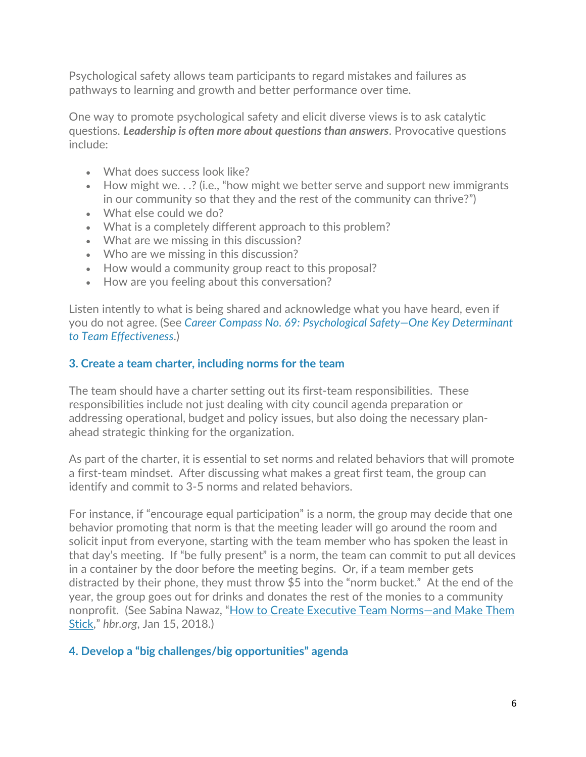Psychological safety allows team participants to regard mistakes and failures as pathways to learning and growth and better performance over time.

One way to promote psychological safety and elicit diverse views is to ask catalytic questions. *Leadership is often more about questions than answers*. Provocative questions include:

- What does success look like?
- How might we. . .? (i.e., "how might we better serve and support new immigrants in our community so that they and the rest of the community can thrive?")
- What else could we do?
- What is a completely different approach to this problem?
- What are we missing in this discussion?
- Who are we missing in this discussion?
- How would a community group react to this proposal?
- How are you feeling about this conversation?

Listen intently to what is being shared and acknowledge what you have heard, even if you do not agree. (See *[Career Compass No. 69: Psychological Safety—One Key Determinant](https://icma.org/articles/member-news/career-compass-no-69-psychological-safety-one-key-determinant-team)  [to Team Effectiveness](https://icma.org/articles/member-news/career-compass-no-69-psychological-safety-one-key-determinant-team)*.)

#### **3. Create a team charter, including norms for the team**

The team should have a charter setting out its first-team responsibilities. These responsibilities include not just dealing with city council agenda preparation or addressing operational, budget and policy issues, but also doing the necessary planahead strategic thinking for the organization.

As part of the charter, it is essential to set norms and related behaviors that will promote a first-team mindset. After discussing what makes a great first team, the group can identify and commit to 3-5 norms and related behaviors.

For instance, if "encourage equal participation" is a norm, the group may decide that one behavior promoting that norm is that the meeting leader will go around the room and solicit input from everyone, starting with the team member who has spoken the least in that day's meeting. If "be fully present" is a norm, the team can commit to put all devices in a container by the door before the meeting begins. Or, if a team member gets distracted by their phone, they must throw \$5 into the "norm bucket." At the end of the year, the group goes out for drinks and donates the rest of the monies to a community nonprofit. (See Sabina Nawaz, ["How to Create Executive Team Norms—and Make Them](https://hbr.org/2018/01/how-to-create-executive-team-norms-and-make-them-stick)  [Stick,](https://hbr.org/2018/01/how-to-create-executive-team-norms-and-make-them-stick)" *hbr.org*, Jan 15, 2018.)

#### **4. Develop a "big challenges/big opportunities" agenda**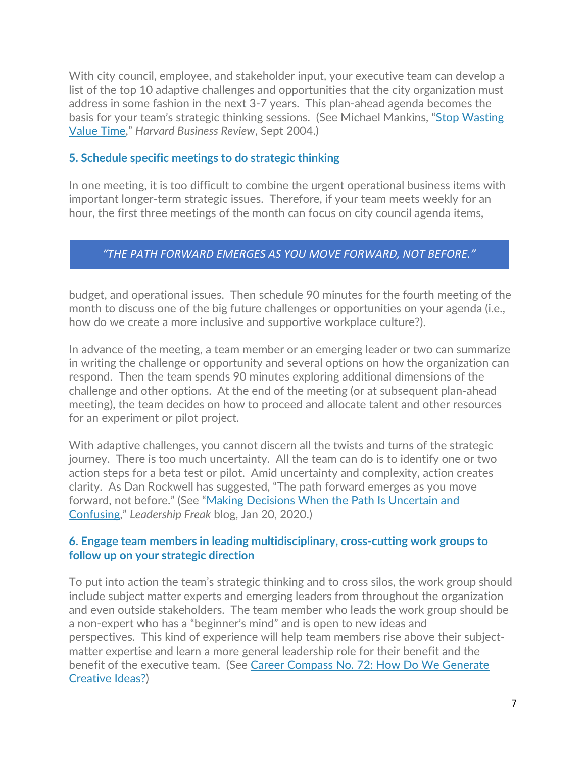With city council, employee, and stakeholder input, your executive team can develop a list of the top 10 adaptive challenges and opportunities that the city organization must address in some fashion in the next 3-7 years. This plan-ahead agenda becomes the basis for your team's strategic thinking sessions. (See Michael Mankins, ["Stop Wasting](https://hbr.org/2004/09/stop-wasting-valuable-time)  [Value Time,](https://hbr.org/2004/09/stop-wasting-valuable-time)" *Harvard Business Review*, Sept 2004.)

#### **5. Schedule specific meetings to do strategic thinking**

In one meeting, it is too difficult to combine the urgent operational business items with important longer-term strategic issues. Therefore, if your team meets weekly for an hour, the first three meetings of the month can focus on city council agenda items,

#### *"THE PATH FORWARD EMERGES AS YOU MOVE FORWARD, NOT BEFORE."*

budget, and operational issues. Then schedule 90 minutes for the fourth meeting of the month to discuss one of the big future challenges or opportunities on your agenda (i.e., how do we create a more inclusive and supportive workplace culture?).

In advance of the meeting, a team member or an emerging leader or two can summarize in writing the challenge or opportunity and several options on how the organization can respond. Then the team spends 90 minutes exploring additional dimensions of the challenge and other options. At the end of the meeting (or at subsequent plan-ahead meeting), the team decides on how to proceed and allocate talent and other resources for an experiment or pilot project.

With adaptive challenges, you cannot discern all the twists and turns of the strategic journey. There is too much uncertainty. All the team can do is to identify one or two action steps for a beta test or pilot. Amid uncertainty and complexity, action creates clarity. As Dan Rockwell has suggested, "The path forward emerges as you move forward, not before." (See ["Making Decisions When the Path Is Uncertain and](https://leadershipfreak.blog/2020/01/21/making-decisions-when-the-path-is-uncertain-and-confusing/)  [Confusing,](https://leadershipfreak.blog/2020/01/21/making-decisions-when-the-path-is-uncertain-and-confusing/)" *Leadership Freak* blog, Jan 20, 2020.)

#### **6. Engage team members in leading multidisciplinary, cross-cutting work groups to follow up on your strategic direction**

To put into action the team's strategic thinking and to cross silos, the work group should include subject matter experts and emerging leaders from throughout the organization and even outside stakeholders. The team member who leads the work group should be a non-expert who has a "beginner's mind" and is open to new ideas and perspectives. This kind of experience will help team members rise above their subjectmatter expertise and learn a more general leadership role for their benefit and the benefit of the executive team. (See [Career Compass No. 72: How Do We Generate](https://icma.org/articles/member-news/icma-career-compass-no-72-how-do-we-generate-creative-ideas)  [Creative Ideas?\)](https://icma.org/articles/member-news/icma-career-compass-no-72-how-do-we-generate-creative-ideas)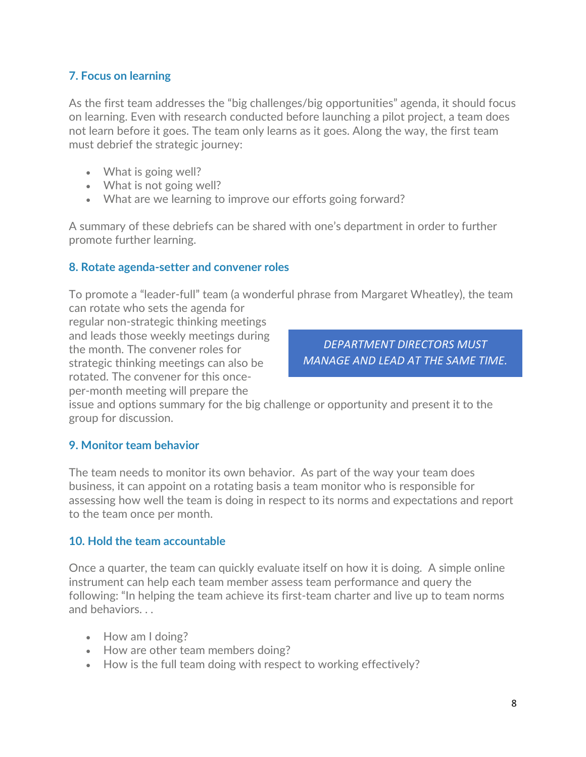#### **7. Focus on learning**

As the first team addresses the "big challenges/big opportunities" agenda, it should focus on learning. Even with research conducted before launching a pilot project, a team does not learn before it goes. The team only learns as it goes. Along the way, the first team must debrief the strategic journey:

- What is going well?
- What is not going well?
- What are we learning to improve our efforts going forward?

A summary of these debriefs can be shared with one's department in order to further promote further learning.

#### **8. Rotate agenda-setter and convener roles**

To promote a "leader-full" team (a wonderful phrase from Margaret Wheatley), the team can rotate who sets the agenda for

regular non-strategic thinking meetings and leads those weekly meetings during the month. The convener roles for strategic thinking meetings can also be rotated. The convener for this onceper-month meeting will prepare the

*DEPARTMENT DIRECTORS MUST MANAGE AND LEAD AT THE SAME TIME.*

issue and options summary for the big challenge or opportunity and present it to the group for discussion.

#### **9. Monitor team behavior**

The team needs to monitor its own behavior. As part of the way your team does business, it can appoint on a rotating basis a team monitor who is responsible for assessing how well the team is doing in respect to its norms and expectations and report to the team once per month.

#### **10. Hold the team accountable**

Once a quarter, the team can quickly evaluate itself on how it is doing. A simple online instrument can help each team member assess team performance and query the following: "In helping the team achieve its first-team charter and live up to team norms and behaviors. . .

- How am I doing?
- How are other team members doing?
- How is the full team doing with respect to working effectively?